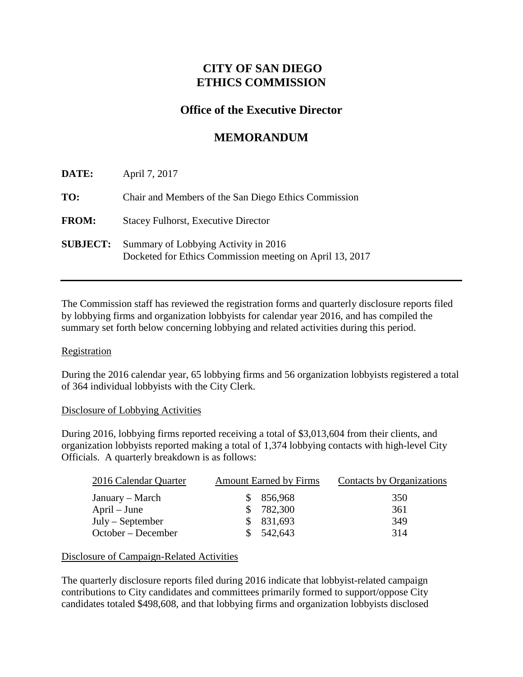## **CITY OF SAN DIEGO ETHICS COMMISSION**

### **Office of the Executive Director**

# **MEMORANDUM**

| DATE:           | April 7, 2017                                                                                    |
|-----------------|--------------------------------------------------------------------------------------------------|
| TO:             | Chair and Members of the San Diego Ethics Commission                                             |
| <b>FROM:</b>    | <b>Stacey Fulhorst, Executive Director</b>                                                       |
| <b>SUBJECT:</b> | Summary of Lobbying Activity in 2016<br>Docketed for Ethics Commission meeting on April 13, 2017 |

The Commission staff has reviewed the registration forms and quarterly disclosure reports filed by lobbying firms and organization lobbyists for calendar year 2016, and has compiled the summary set forth below concerning lobbying and related activities during this period.

#### **Registration**

During the 2016 calendar year, 65 lobbying firms and 56 organization lobbyists registered a total of 364 individual lobbyists with the City Clerk.

#### Disclosure of Lobbying Activities

During 2016, lobbying firms reported receiving a total of \$3,013,604 from their clients, and organization lobbyists reported making a total of 1,374 lobbying contacts with high-level City Officials. A quarterly breakdown is as follows:

| 2016 Calendar Quarter | <b>Amount Earned by Firms</b> | Contacts by Organizations |
|-----------------------|-------------------------------|---------------------------|
| January – March       | \$856,968                     | 350                       |
| $April - June$        | \$782,300                     | 361                       |
| $July - September$    | \$831,693                     | 349                       |
| October – December    | 542,643                       | 314                       |

### Disclosure of Campaign-Related Activities

The quarterly disclosure reports filed during 2016 indicate that lobbyist-related campaign contributions to City candidates and committees primarily formed to support/oppose City candidates totaled \$498,608, and that lobbying firms and organization lobbyists disclosed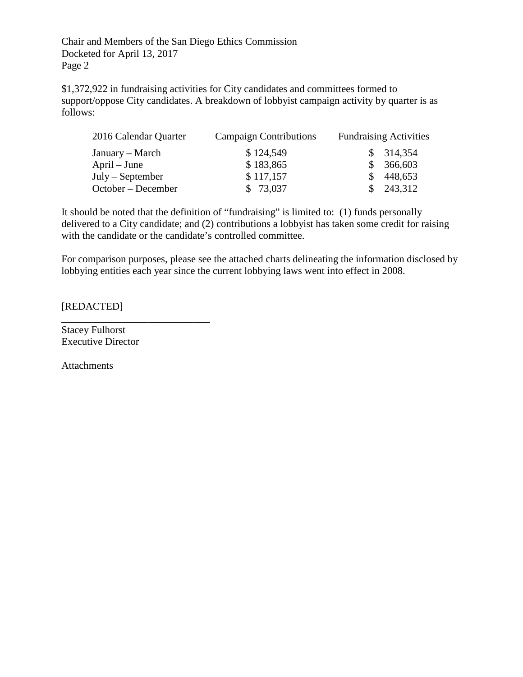Chair and Members of the San Diego Ethics Commission Docketed for April 13, 2017 Page 2

\$1,372,922 in fundraising activities for City candidates and committees formed to support/oppose City candidates. A breakdown of lobbyist campaign activity by quarter is as follows:

| 2016 Calendar Quarter | <b>Campaign Contributions</b> | <b>Fundraising Activities</b> |  |
|-----------------------|-------------------------------|-------------------------------|--|
| January – March       | \$124,549                     | \$314,354                     |  |
| April – June          | \$183,865                     | \$366,603                     |  |
| July – September      | \$117,157                     | 448,653                       |  |
| October – December    | \$73,037                      | \$243,312                     |  |

It should be noted that the definition of "fundraising" is limited to: (1) funds personally delivered to a City candidate; and (2) contributions a lobbyist has taken some credit for raising with the candidate or the candidate's controlled committee.

For comparison purposes, please see the attached charts delineating the information disclosed by lobbying entities each year since the current lobbying laws went into effect in 2008.

[REDACTED]

Stacey Fulhorst Executive Director

\_\_\_\_\_\_\_\_\_\_\_\_\_\_\_\_\_\_\_\_\_\_\_\_\_\_\_\_\_

**Attachments**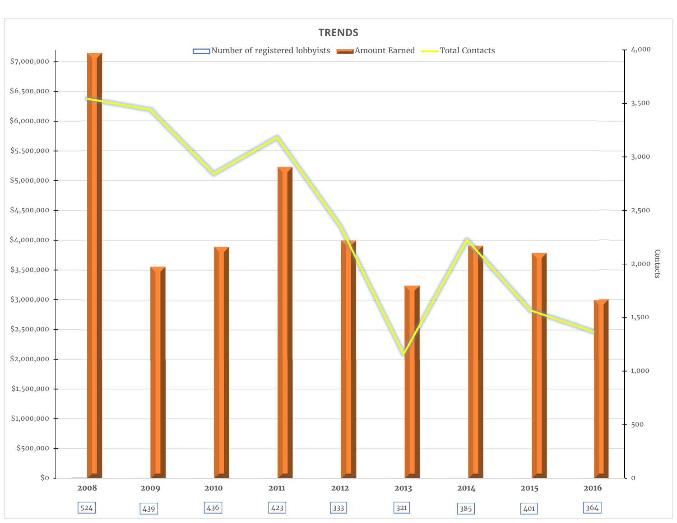